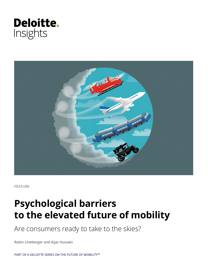



FEATURE

# **Psychological barriers to the elevated future of mobility**

Are consumers ready to take to the skies?

Robin Lineberger and Aijaz Hussain

PART OF A DELOITTE SERIES ON THE FUTURE OF MOBILITY™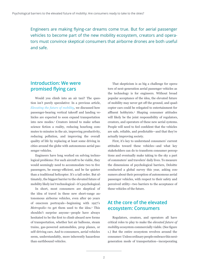Engineers are making flying-car dreams come true. But for aerial passenger vehicles to become part of the new mobility ecosystem, creators and operators must convince skeptical consumers that airborne drones are both useful and safe.

# **Introduction: We were promised flying cars**

Would you climb into an air taxi? The question isn't purely speculative: In a previous article, *[Elevating the future of mobility](https://www2.deloitte.com/insights/us/en/focus/future-of-mobility/passenger-drones-flying-cars.html)*, we discussed how passenger-bearing vertical takeoff and landing vehicles are expected to soon expand transportation into new modes.1 Creators intend to make urban science fiction a reality, reducing hourlong commutes to minutes in the air, improving productivity, reducing pollution, and improving the overall quality of life by replacing at least some driving in cities around the globe with autonomous aerial passenger vehicles.

Engineers have long worked on solving technological problems: For such aircraft to be viable, they would seemingly need to accommodate two to five passengers, be energy-efficient, and be far quieter than a traditional helicopter. It's a tall order. But ultimately, the biggest barrier to the elevated future of mobility likely isn't technological—it's psychological.

In short, most consumers are skeptical of the idea of travel in these new short-range autonomous airborne vehicles, even after 90 years of onscreen portrayals—beginning with 1927's Metropolis—to get them used to the idea.<sup>2</sup> This shouldn't surprise anyone—people have always hesitated to be the first to climb aboard new forms of transportation, whether hot air balloons, steam trains, gas-powered automobiles, prop planes, or self-driving cars. And to consumers, aerial vehicles seem, understandably, more inherently hazardous than earthbound vehicles.

That skepticism is as big a challenge for operators of next-generation aerial passenger vehicles as the technology is for engineers. Without broad popular acceptance of the idea, the elevated future of mobility may never get off the ground, and quadcopter cars could be relegated to entertainment for affluent hobbyists.<sup>3</sup> Shaping consumer attitudes will likely be the joint responsibility of regulators, creators, and operators of these new aerial systems. People will need to feel confident that the vehicles are safe, reliable, and predictable—and that they're actually improving society.

First, it's key to understand consumers' current attitudes toward these vehicles—and what key stakeholders can do to transform consumer perceptions and eventually make taking to the sky a part of commuters' and travelers' daily lives. To measure the dimensions of psychological barriers, Deloitte conducted a global survey this year, asking consumers about their perception of autonomous aerial passenger vehicles, with respect to their safety and perceived utility—two barriers to the acceptance of these vehicles of the future.

### **At the core of the elevated ecosystem: Consumers**

Regulators, creators, and operators all have critical roles to play to make the *elevated future of mobility* ecosystem commercially viable. (See figure 1.) But the entire ecosystem revolves around the consumer: Unless ordinary people embrace this nextgeneration mode of transportation—incorporating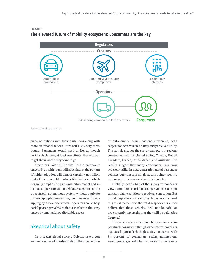

#### FIGURE 1

### **The elevated future of mobility ecosystem: Consumers are the key**

Source: Deloitte analysis.

airborne options into their daily lives along with more traditional modes—cars will likely stay earthbound. Passengers would need to feel as though aerial vehicles are, at least sometimes, the best way to get them where they want to go.

Operators' role will be vital in the embryonic stages. Even with much still speculative, the pattern of initial adoption will almost certainly not follow that of the venerable automobile industry, which began by emphasizing an ownership model and introduced operators at a much later stage. In setting up a strictly autonomous system without a privateownership option—meaning no freelance drivers zipping by above city streets—operators could help aerial passenger vehicles find a market in the early stages by emphasizing affordable access.

## **Skeptical about safety**

In a recent global survey, Deloitte asked consumers a series of questions about their perception

of autonomous aerial passenger vehicles, with respect to these vehicles' safety and perceived utility. The sample size for the survey was 10,300; regions covered include the United States, Canada, United Kingdom, France, China, Japan, and Australia. The results suggest that many consumers, even now, see clear utility in next-generation aerial passenger vehicles but—unsurprisingly at this point—seem to harbor serious concerns about their safety.

Globally, nearly half of the survey respondents view autonomous aerial passenger vehicles as a potentially viable solution to roadway congestion. But initial impressions show how far operators need to go: 80 percent of the total respondents either believe that these vehicles "will not be safe" or are currently uncertain that they will be safe. (See figure 2.)

Responses across national borders were comparatively consistent, though Japanese respondents expressed particularly high safety concerns, with 87 percent of consumers seeing autonomous aerial passenger vehicles as unsafe or remaining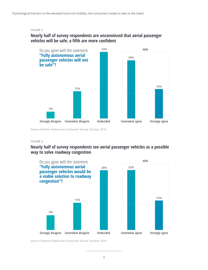FIGURE 2

### **Nearly half of survey respondents are unconvinced that aerial passenger vehicles will be safe; a fifth are more confident**

![](_page_3_Figure_3.jpeg)

Source: Deloitte Global Auto Consumer Survey, October 2018.

#### FIGURE 3

### **Nearly half of survey respondents see aerial passenger vehicles as a possible way to solve roadway congestion**

![](_page_3_Figure_7.jpeg)

Source: Deloitte Global Auto Consumer Survey, October 2018.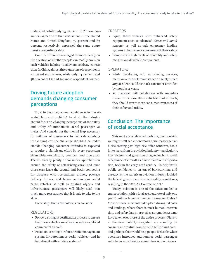undecided, while only 73 percent of Chinese consumers agreed with that assessment. In the United States and United Kingdom, 79 percent and 83 percent, respectively, expressed the same apprehension regarding safety.

Country differences emerged far more clearly on the question of whether people can readily envision such vehicles helping to alleviate roadway congestion: In China, almost three-quarters of respondents expressed enthusiasm, while only 44 percent and 38 percent of US and Japanese respondents agreed.

# **Driving future adoption demands changing consumer perceptions**

How to boost consumer confidence in the elevated future of mobility? In short, the industry should focus on changing perceptions of the safety and utility of autonomous aerial passenger vehicles. And considering the mental leap necessary for millions of passengers to feel safe climbing into a flying car, the challenge shouldn't be understated: Changing consumer attitudes is expected to require a significant effort by every ecosystem stakeholder—regulators, creators, and operators. There's already plenty of consumer apprehension around the safety of self-driving cars,4 and once those cars leave the ground and begin competing for airspace with recreational drones, package delivery drones, and larger autonomous aerial cargo vehicles—as well as existing objects and infrastructure—passengers will likely need that much more reassurance that it is safe to take to the skies.

Some steps that stakeholders can consider:

#### REGULATORS

- Follow a stringent certification process to ensure that these vehicles are at least as safe as a piloted commercial aircraft.
- Focus on creating a robust traffic management system for autonomous aerial vehicles—and integrating it with existing systems.5

#### CREATORS

- Equip these vehicles with enhanced safety equipment such as advanced *detect and avoid* sensors<sup>6</sup> as well as safe emergency landing systems to help assure consumers of their safety.
- Demonstrate high levels of reliability and safety margins on all vehicle components.

#### OPERATORS

- While developing and introducing services, maintain a zero-tolerance stance on safety, since *any* accident could set back consumer attitudes by months or years.
- As operators will collaborate with manufacturers to increase these vehicles' market reach, they should create more consumer awareness of their safety and utility.

# **Conclusion: The importance of social acceptance**

This next era of elevated mobility, one in which we might well see autonomous aerial passenger vehicles soaring past high-rise office windows, has a lot to learn from the aviation industry—particularly, how airlines and government agencies built social acceptance of aircraft as a new mode of transportation, back in the early 20th century. To help instill public confidence in an era of barnstorming and daredevils, the American aviation industry lobbied the federal government to create safety regulations, resulting in the 1926 Air Commerce Act.7

Today, aviation is one of the safest modes of transportation, with a fatal accident rate of only one per 16 million large commercial passenger flights.<sup>8</sup> Most of those incidents take place during takeoffs and landings, where there is most human intervention, and safety has improved as automatic systems have taken over more of the entire process.9 Players in the new mobility ecosystem are counting on consumers' eventual comfort with self-driving cars and perhaps that would help people feel safer when operators introduce autonomous aerial passenger vehicles as an option for commuters or daytrippers.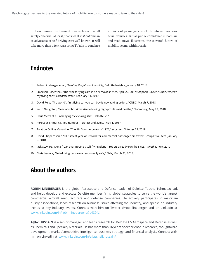Less human involvement means fewer overall safety concerns. At least, that's what it *should* mean, as advocates of self-driving cars well know.10 It will take more than a few reassuring TV ads to convince

millions of passengers to climb into autonomous aerial vehicles. But as public confidence in both air and road travel illustrates, the elevated future of mobility seems within reach.

# **Endnotes**

- 1. Robin Lineberger et al., *Elevating the future of mobility*, Deloitte Insights, January 18, 2018.
- 2. Emerson Rosenthal, "The 9 best flying cars in sci-fi movies," Vice, April 22, 2017; Stephen Baxter, "Dude, where's my flying car?," *Financial Times*, February 11, 2017.
- 3. David Reid, "The world's first flying car you can buy is now taking orders," CNBC, March 7, 2018.
- 4. Keith Naughton, "Fear of robot rides rise following high-profile road deaths," Bloomberg, May 22, 2018.
- 5. Chris Metts et al., *Managing the evolving skies*, Deloitte, 2018.
- 6. Aerospace America, "Job number 1: Detect and avoid," May 1, 2017.
- 7. Aviation Online Magazine, "The Air Commerce Act of 1926," accessed October 23, 2018.
- 8. David Shepardson, "2017 safest year on record for commercial passenger air travel: Groups," Reuters, January 2, 2018.
- 9. Jack Stewart, "Don't freak over Boeing's self-flying plane—robots already run the skies," *Wired*, June 9, 2017.
- 10. Chris Isadore, "Self-driving cars are already really safe," CNN, March 21, 2018.

# **About the authors**

**ROBIN LINEBERGER** is the global Aerospace and Defense leader of Deloitte Touche Tohmatsu Ltd. and helps develop and execute Deloitte member firms' global strategies to serve the world's largest commercial aircraft manufacturers and defense companies. He actively participates in major industry associations, leads research on business issues affecting the industry, and speaks on industry trends at key industry events. Connect with him on Twitter @robinlineberger and on LinkedIn at [www.linkedin.com/in/robin-lineberger-a7b9894/.](http://www.linkedin.com/in/robin-lineberger-a7b9894/)

**AIJAZ HUSSAIN** is a senior manager and leads research for Deloitte US Aerospace and Defense as well as Chemicals and Specialty Materials. He has more than 16 years of experience in research, thoughtware development, market/competitive intelligence, business strategy, and financial analysis. Connect with him on LinkedIn at [www.linkedin.com/in/aijazshaikhussain/](http://www.linkedin.com/in/aijazshaikhussain/).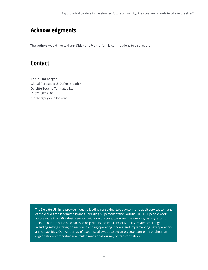# **Acknowledgments**

The authors would like to thank **Siddhant Mehra** for his contributions to this report.

# **Contact**

#### **Robin Lineberger**

Global Aerospace & Defense leader Deloitte Touche Tohmatsu Ltd. +1 571 882 7100 rlineberger@deloitte.com

The Deloitte US firms provide industry-leading consulting, tax, advisory, and audit services to many of the world's most admired brands, including 80 percent of the Fortune 500. Our people work across more than 20 industry sectors with one purpose: to deliver measurable, lasting results. Deloitte offers a suite of services to help clients tackle Future of Mobility–related challenges, including setting strategic direction, planning operating models, and implementing new operations and capabilities. Our wide array of expertise allows us to become a true partner throughout an organization's comprehensive, multidimensional journey of transformation.